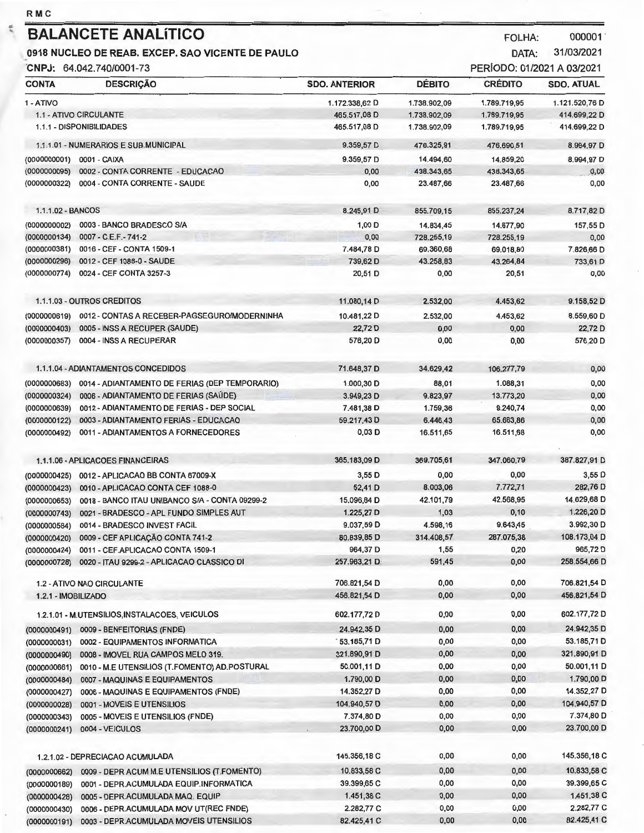|                              | <b>BALANCETE ANALÍTICO</b>                                                      |                      |               | <b>FOLHA:</b>              | 000001            |
|------------------------------|---------------------------------------------------------------------------------|----------------------|---------------|----------------------------|-------------------|
|                              | 0918 NUCLEO DE REAB. EXCEP. SAO VICENTE DE PAULO                                |                      |               | DATA:                      | 31/03/2021        |
|                              | CNPJ: 64.042.740/0001-73                                                        |                      |               | PERÍODO: 01/2021 A 03/2021 |                   |
| <b>CONTA</b>                 | <b>DESCRIÇÃO</b>                                                                | <b>SDO. ANTERIOR</b> | <b>DÉBITO</b> | <b>CRÉDITO</b>             | <b>SDO. ATUAL</b> |
| 1 - ATIVO                    |                                                                                 | 1.172.338,62 D       | 1.738.902,09  | 1.789.719,95               | 1.121.520,76 D    |
|                              | 1.1 - ATIVO CIRCULANTE                                                          | 465.517,08 D         | 1.738.902,09  | 1.789.719,95               | 414.699,22 D      |
|                              | 1.1.1 - DISPONIBILIDADES                                                        | 465.517.08 D         | 1.738.902,09  | 1.789.719,95               | 414.699,22 D      |
|                              | 1.1.1.01 - NUMERARIOS E SUB.MUNICIPAL                                           | 9.359,57 D           | 476.325,91    | 476.690,51                 | 8.994,97 D        |
| (0000000001)                 | 0001 - CAIXA                                                                    | 9.359,57 D           | 14.494,60     | 14.859,20                  | 8.994,97 D        |
| (0000000095)                 | 0002 - CONTA CORRENTE - EDUCACAO                                                | 0,00                 | 438.343,65    | 438.343,65                 | 0,00              |
| (0000000322)                 | 0004 - CONTA CORRENTE - SAUDE                                                   | 0,00                 | 23.487,66     | 23.487,66                  | 0,00              |
| 1.1.1.02 - BANCOS            |                                                                                 | 8.245,91 D           | 855.709,15    | 855.237,24                 | 8.717,82 D        |
| (0000000002)                 | 0003 - BANCO BRADESCO S/A                                                       | 1,00 D               | 14.834,45     | 14.677,90                  | 157,55 D          |
| (0000000134)                 | 0007 - C.E.F.-741-2                                                             | 0,00                 | 728.255,19    | 728.255,19                 | 0,00              |
| (0000000381)                 | 0016 - CEF - CONTA 1509-1                                                       | 7.484,78 D           | 69.360,68     | 69.018,80                  | 7.826,66 D        |
| (0000000296)                 | 0012 - CEF 1088-0 - SAUDE                                                       | 739,62 D             | 43,258,83     | 43.264,84                  | 733,61 D          |
| (0000000774)                 | 0024 - CEF CONTA 3257-3                                                         | 20,51 D              | 0,00          | 20,51                      | 0,00              |
|                              | 1.1.1.03 - OUTROS CREDITOS                                                      | 11.080,14 D          | 2.532,00      | 4.453,62                   | 9.158,52 D        |
|                              |                                                                                 |                      |               | 4.453,62                   | 8.559,60 D        |
| (0000000619)                 | 0012 - CONTAS A RECEBER-PAGSEGURO/MODERNINHA                                    | 10.481,22 D          | 2.532,00      |                            | 22,72 D           |
| (0000000403)                 | 0005 - INSS A RECUPER (SAUDE)                                                   | 22,72 D              | 0,00          | 0,00<br>0,00               | 576,20 D          |
| (0000000357)                 | 0004 - INSS A RECUPERAR                                                         | 576,20 D             | 0,00          |                            |                   |
|                              | 1.1.1.04 - ADIANTAMENTOS CONCEDIDOS                                             | 71.648,37 D          | 34.629,42     | 106.277,79                 | 0,00              |
| (0000000683)                 | 0014 - ADIANTAMENTO DE FERIAS (DEP TEMPORARIO)                                  | 1.000,30 D           | 88,01         | 1.088,31                   | 0,00              |
| (0000000324)                 | 0006 - ADIANTAMENTO DE FERIAS (SAÚDE)                                           | 3.949,23 D           | 9.823,97      | 13.773,20                  | 0,00              |
| (0000000639)                 | 0012 - ADIANTAMENTO DE FERIAS - DEP SOCIAL                                      | 7.481,38 D           | 1.759,36      | 9.240,74                   | 0,00              |
| (0000000122)                 | 0003 - ADIANTAMENTO FERIAS - EDI CACAO                                          | 59.217,43 D          | 6.446,43      | 65.663,86                  | 0,00              |
| (0000000492)                 | 0011 - ADIANTAMENTOS A FORNECEDORES                                             | $0,03$ D             | 16.511,65     | 16.511,68                  | 0,00              |
|                              | 1.1.1.06 - APLICACOES FINANCEIRAS                                               | 365.183,09 D         | 369.705,61    | 347.060,79                 | 387.827,91 D      |
|                              | (0000000425) 0012 - APLICACAO BB CONTA 67009-X                                  | 3,55 D               | 0,00          | 0.00                       | $3,55$ D          |
|                              | (0000000423) 0010 - APLICACAO CONTA CEF 1088-0                                  | 52,41 D              | 8.003,06      | 7.772,71                   | 282,76 D          |
|                              | 0018 - BANCO ITAU UNIBANCO S/A - CONTA 09299-2                                  | 15,096,84 D          | 42.101,79     | 42.568,95                  | 14.629,68 D       |
| (0000000653)                 | 0021 - BRADESCO - APL FUNDO SIMPLES AUT                                         | 1.225,27 D           | 1,03          | 0, 10                      | 1.226,20 D        |
| (0000000743)                 |                                                                                 | 9.037,59 D           | 4.598,16      | 9.643,45                   | 3.992,30 D        |
| (0000000584)                 | 0014 - BRADESCO INVEST FACIL<br>0009 - CEF APLICACÃO CONTA 741-2                | 80.839,85 D          | 314.408,57    | 287.075,38                 | 108.173,04 D      |
| (0000000420)                 |                                                                                 | 964,37 D             | 1,55          | 0,20                       | 965,72 D          |
| (0000000424)<br>(0000000728) | 0011 - CEF.APLICACAO CONTA 1509-1<br>0020 - ITAU 9299-2 - APLICACAO CLASSICO DI | 257.963,21 D.        | 591,45        | 0,00                       | 258.554,66 D      |
|                              |                                                                                 |                      |               |                            |                   |
|                              | 1.2 - ATIVO NAO CIRCULANTE                                                      | 706.821,54 D         | 0,00          | 0,00                       | 706.821,54 D      |
| 1.2.1 - IMOBILIZADO          |                                                                                 | 456.821,54 D         | 0,00          | 0,00                       | 456.821,54 D      |
|                              | 1.2.1.01 - M.UTENSILIOS, INSTALACOES, VEICULOS                                  | 602.177,72 D         | 0,00          | 0,00                       | 602.177,72 D      |
| (0000000491)                 | 0009 - BENFEITORIAS (FNDE)                                                      | 24.942,35 D          | 0,00          | 0,00                       | 24.942,35 D       |
| (0000000031)                 | 0002 - EQUIPAMENTOS INFORMATICA                                                 | 53.185,71 D          | 0,00          | 0,00                       | 53.185,71 D       |
| (0000000490)                 | 0008 - IMOVEL RUA CAMPOS MELO 319.                                              | 321.890,91 D         | 0,00          | 0,00                       | 321.890,91 D      |
| (0000000661)                 | 0010 - M.E UTENSILIOS (T.FOMENTO) AD.POSTURAL                                   | 50.001,11 D          | 0,00          | 0,00                       | 50.001,11 D       |
| (0000000484)                 | 0007 - MAQUINAS E EQUIPAMENTOS                                                  | 1.790,00 D           | 0,00          | 0, 10                      | 1.790,00 D        |
| (0000000427)                 | 0006 - MAQUINAS E EQUIPAMENTOS (FNDE)                                           | 14.352,27 D          | 0,00          | 0,00                       | 14.352,27 D       |
| (0000000028)                 | 0001 - MOVEIS E UTENSILIOS                                                      | 104.940,57 D         | 0,00          | 0,00                       | 104.940,57 D      |
| (0000000343)                 | 0005 - MOVEIS E UTENSILIOS (FNDE)                                               | 7.374,80 D           | 0,00          | 0,00                       | 7.374,80 D        |
| (0000000241)                 | 0004 - VEICULOS                                                                 | 23.700,00 D          | 0,00          | 0,00                       | 23.700,00 D       |
|                              | 1.2.1.02 - DEPRECIACAO ACUMULADA                                                | 145.356,18 C         | 0,00          | 0,00                       | 145.356,18 C      |
|                              |                                                                                 |                      | 0,00          | 0,00                       | 10,833,58 C       |
| (0000000662)                 | 0009 - DEPR ACUM M.E UTENSILIOS (T.FOMENTO)                                     | 10.833,58 C          | 0,00          | 0,00                       | 39.399,65 C       |
| (0000000189)                 | 0001 - DEPR.ACUMULADA EQUIP.INFORMATICA                                         | 39.399,65 C          |               | 0,00                       | 1,451,38 C        |
| (0000000428)                 | 0005 - DEPR.ACUMULADA MAQ. EQUIP                                                | 1.451,38 C           | 0,00          | 0,00                       | 2.282,77 C        |
| (0000000430)                 | 0006 - DEPR.ACUMULADA MOV UT(REC FNDE)                                          | 2.282,77 C           | 0,00          |                            | 82.425,41 C       |
| (0000000191)                 | 0003 - DEPR.ACUMULADA MOVEIS UTENSILIOS                                         | 82.425,41 C          | 0,00          | 0,00                       |                   |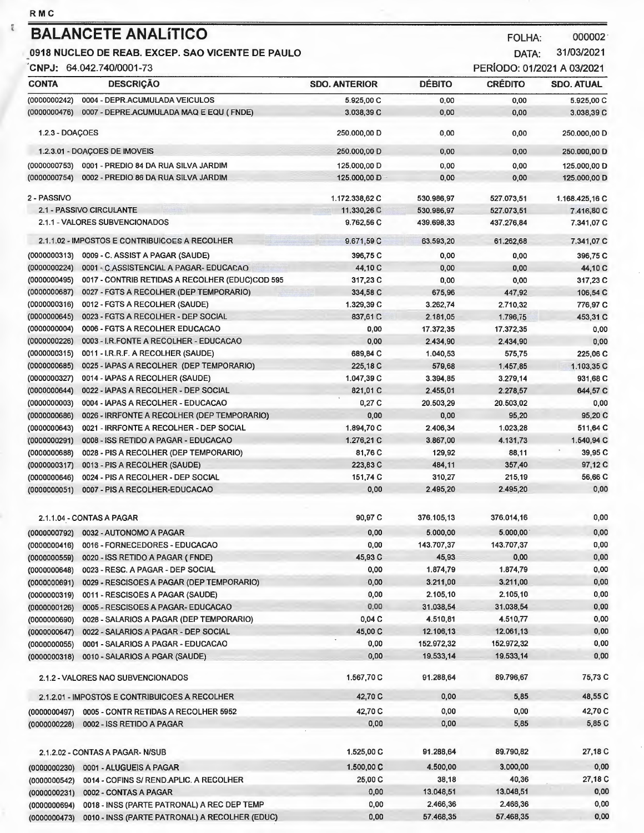$\frac{m}{q}$ 

| <b>RMC</b>                                       |                                                 |                      |               |                            |                   |
|--------------------------------------------------|-------------------------------------------------|----------------------|---------------|----------------------------|-------------------|
|                                                  | <b>BALANCETE ANALÍTICO</b>                      |                      |               | <b>FOLHA:</b>              | 000002            |
| 0918 NUCLEO DE REAB. EXCEP. SAO VICENTE DE PAULO |                                                 |                      | DATA:         | 31/03/2021                 |                   |
|                                                  | CNPJ: 64.042.740/0001-73                        |                      |               | PERÍODO: 01/2021 A 03/2021 |                   |
| <b>CONTA</b>                                     | <b>DESCRICÃO</b>                                | <b>SDO. ANTERIOR</b> | <b>DÉBITO</b> | <b>CRÉDITO</b>             | <b>SDO. ATUAL</b> |
|                                                  |                                                 |                      |               |                            |                   |
| (0000000242)                                     | 0004 - DEPR.ACUMULADA VEICULOS                  | 5.925,00 C           | 0.00          | 0.00                       | 5.925,00 C        |
| (0000000476)                                     | 0007 - DEPRE.ACUMULADA MAQ E EQU (FNDE)         | 3.038,39 C           | 0,00          | 0,00                       | 3.038,39 C        |
| 1.2.3 - DOAÇOES                                  |                                                 | 250.000,00 D         | 0,00          | 0,00                       | 250.000,00 D      |
|                                                  | 1.2.3.01 - DOAÇOES DE IMOVEIS                   | 250.000,00 D         | 0,00          | 0,00                       | 250.000,00 D      |
| (0000000753)                                     | 0001 - PREDIO 84 DA RUA SILVA JARDIM            | 125.000,00 D         | 0,00          | 0,00                       | 125.000,00 D      |
| (0000000754)                                     | 0002 - PREDIO 86 DA RUA SILVA JARDIM            | 125.000,00 D         | 0,00          | 0.00                       | 125.000,00 D      |
| 2 - PASSIVO                                      |                                                 | 1.172.338,62 C       | 530.986,97    | 527.073.51                 | 1.168.425.16 C    |
|                                                  | 2.1 - PASSIVO CIRCULANTE                        | 11.330,26 C          | 530.986,97    | 527.073,51                 | 7.416,80 C        |
|                                                  | 2.1.1 - VALORES SUBVENCIONADOS                  | 9.762,56 C           | 439.698,33    | 437.276,84                 | 7.341,07 C        |
|                                                  | 2.1.1.02 - IMPOSTOS E CONTRIBUICOES A RECOLHER  | 9.671,59 C           | 63,593,20     | 61.262,68                  | 7.341,07 C        |
| (0000000313)                                     | 0009 - C. ASSIST A PAGAR (SAUDE)                | 396.75 C             | 0.00          | 0,00                       | 396,75 C          |
| (0000000224)                                     | 0001 - C.ASSISTENCIAL A PAGAR- EDUCACAO         | 44,10 C              | 0,00          | 0.00                       | 44,10 C           |
| (0000000495)                                     | 0017 - CONTRIB RETIDAS A RECOLHER (EDUC)COD 595 | 317,23 C             | 0,00          | 0,00                       | 317,23 C          |
| (0000000687)                                     | 0027 - FGTS A RECOLHER (DEP TEMPORARIO)         | 334,58 C             | 675,96        | 447.92                     | 106.54 C          |
| (0000000316)                                     | 0012 - FGTS A RECOLHER (SAUDE)                  | 1.329,39 C           | 3.262,74      | 2.710.32                   | 776,97 C          |
| (0000000645)                                     | 0023 - FGTS A RECOLHER - DEP SOCIAL             | 837,61 C             | 2.181,05      | 1.796,75                   | 453,31 C          |
| (0000000004)                                     | 0006 - FGTS A RECOLHER EDUCACAO                 | 0,00                 | 17.372,35     | 17.372,35                  | 0.00              |
| (0000000226)                                     | 0003 - I.R.FONTE A RECOLHER - EDUCACAO          | 0,00                 | 2.434,90      | 2.434,90                   | 0,00              |
| (0000000315)                                     | 0011 - I.R.R.F. A RECOLHER (SAUDE)              | 689,84 C             | 1.040,53      | 575,75                     | 225,06 C          |
| (0000000685)                                     | 0025 - IAPAS A RECOLHER (DEP TEMPORARIO)        | 225,18 C             | 579.68        | 1.457,85                   | 1.103,35 C        |
| (0000000327)                                     | 0014 - IAPAS A RECOLHER (SAUDE)                 | 1.047,39 C           | 3.394,85      | 3.279,14                   | 931,68 C          |
| (0000000644)                                     | 0022 - IAPAS A RECOLHER - DEP SOCIAL            | 821,01 C             | 2.455,01      | 2.278,57                   | 644,57 C          |
| (0000000003)                                     | 0004 - IAPAS A RECOLHER - EDUCACAO              | 0,27C                | 20.503,29     | 20.503,02                  | 0,00              |
| (0000000686)                                     | 0026 - IRRFONTE A RECOLHER (DEP TEMPORARIO)     | 0,00                 | 0,00          | 95,20                      | 95,20 C           |
| (0000000643)                                     | 0021 - IRRFONTE A RECOLHER - DEP SOCIAL         | 1.894,70 C           | 2.406,34      | 1.023.28                   | 511,64 C          |
| (0000000291)                                     | 0008 - ISS RETIDO A PAGAR - EDUCACAO            | 1.276.21 C           | 3,867,00      | 4.131,73                   | 1.540,94 C        |
| (0000000688)                                     | 0028 - PIS A RECOLHER (DEP TEMPORARIO)          | 81,76 C              | 129,92        | 88,11                      | 39,95 C           |
| (0000000317)                                     | 0013 - PIS A RECOLHER (SAUDE)                   | 223,83 C             | 484,11        | 357,40                     | 97,12 C           |
| (0000000646)                                     | 0024 - PIS A RECOLHER - DEP SOCIAL              | 151,74 C             | 310.27        | 215.19                     | 56,66 C           |

| (0000000051) | 0007 - PIS A RECOLHER-EDUCACAO                 | 0,00       | 2.495,20   | 2.495,20   | 0,00    |
|--------------|------------------------------------------------|------------|------------|------------|---------|
|              |                                                |            |            |            |         |
|              | 2.1.1.04 - CONTAS A PAGAR                      | 90,97 C    | 376.105,13 | 376.014,16 | 0,00    |
| (0000000792) | 0032 - AUTONOMO A PAGAR                        | 0,00       | 5.000,00   | 5.000,00   | 0,00    |
| (0000000416) | 0016 - FORNECEDORES - EDUCACAO                 | 0,00       | 143.707.37 | 143,707,37 | 0,00    |
| (0000000559) | 0020 - ISS RETIDO A PAGAR (FNDE)               | 45,93 C    | 45,93      | 0.00       | 0,00    |
| (0000000648) | 0023 - RESC. A PAGAR - DEP SOCIAL              | 0,00       | 1.874,79   | 1.874.79   | 0,00    |
| (0000000691) | 0029 - RESCISOES A PAGAR (DEP TEMPORARIO)      | 0,00       | 3.211,00   | 3.211.00   | 0,00    |
| (0000000319) | 0011 - RESCISOES A PAGAR (SAUDE)               | 0,00       | 2.105,10   | 2.105,10   | 0,00    |
| (0000000126) | 0005 - RESCISOES A PAGAR- EDUCACAO             | 0.00       | 31.038,54  | 31.038,54  | 0,00    |
| (0000000690) | 0028 - SALARIOS A PAGAR (DEP TEMPORARIO)       | 0,04C      | 4.510,81   | 4.510,77   | 0,00    |
| (0000000647) | 0022 - SALARIOS A PAGAR - DEP SOCIAL           | 45,00 C    | 12.106,13  | 12.061.13  | 0,00    |
| (0000000055) | 0001 - SALARIOS A PAGAR - EDUCACAO             | 0,00       | 152.972,32 | 152.972,32 | 0,00    |
| (0000000318) | 0010 - SALARIOS A PGAR (SAUDE)                 | 0,00       | 19.533,14  | 19.533,14  | 0,00    |
|              | 2.1.2 - VALORES NAO SUBVENCIONADOS             | 1.567,70 C | 91.288,64  | 89.796,67  | 75,73 C |
|              | 2.1.2.01 - IMPOSTOS E CONTRIBUICOES A RECOLHER | 42,70 C    | 0,00       | 5,85       | 48,55 C |
| (0000000497) | 0005 - CONTR RETIDAS A RECOLHER 5952           | 42,70 C    | 0.00       | 0.00       | 42,70 C |
| (0000000228) | 0002 - ISS RETIDO A PAGAR                      | 0,00       | 0,00       | 5,85       | 5,85 C  |
|              | 2.1.2.02 - CONTAS A PAGAR-N/SUB                | 1.525,00 C | 91.288,64  | 89.790,82  | 27,18 C |
| (0000000230) | 0001 - ALUGUEIS A PAGAR                        | 1.500,00 C | 4.500,00   | 3.000,00   | 0,00    |
| (0000000542) | 0014 - COFINS S/ REND.APLIC. A RECOLHER        | 25,00 C    | 38,18      | 40,36      | 27,18 C |
| (0000000231) | 0002 - CONTAS A PAGAR                          | 0,00       | 13.048.51  | 13,048,51  | 0,00    |
| (0000000694) | 0018 - INSS (PARTE PATRONAL) A REC DEP TEMP    | 0,00       | 2.466,36   | 2.466,36   | 0.00    |
|              |                                                |            |            |            |         |

 $0,00$ 

57.468,35

57.468,35

(0000000473) 0010 - INSS (PARTE PATRONAL) A RECOLHER (EDUC)

 $0,00$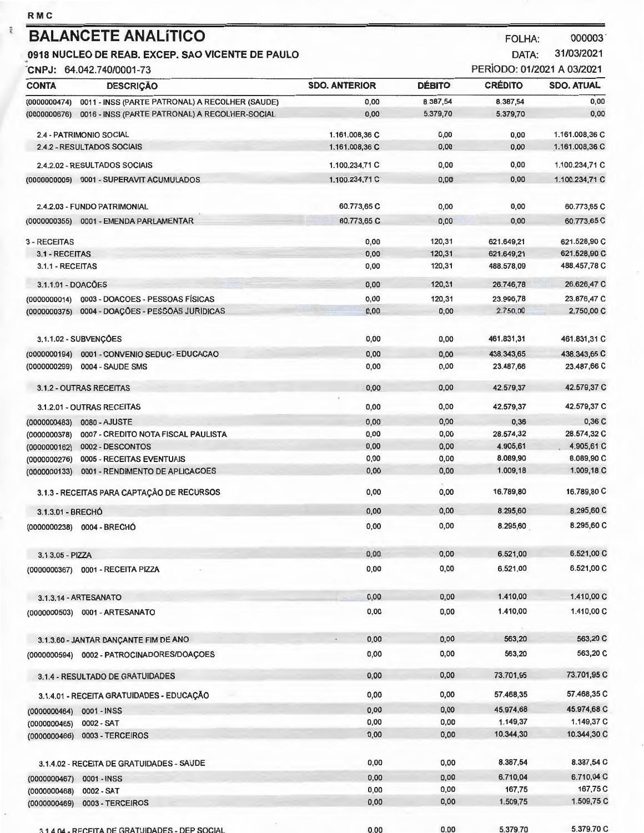| <b>RMC</b>                                       |                                                 |                      |               |                            |                   |
|--------------------------------------------------|-------------------------------------------------|----------------------|---------------|----------------------------|-------------------|
|                                                  | <b>BALANCETE ANALÍTICO</b>                      |                      |               | <b>FOLHA:</b>              | 000003            |
| 0918 NUCLEO DE REAB. EXCEP. SAO VICENTE DE PAULO |                                                 |                      | DATA:         | 31/03/2021                 |                   |
|                                                  | CNPJ: 64.042.740/0001-73                        |                      |               | PERÍODO: 01/2021 A 03/2021 |                   |
| <b>CONTA</b>                                     | <b>DESCRIÇÃO</b>                                | <b>SDO, ANTERIOR</b> | <b>DÉBITO</b> | <b>CRÉDITO</b>             | <b>SDO. ATUAL</b> |
| (0000000474)                                     | 0011 - INSS (PARTE PATRONAL) A RECOLHER (SAUDE) | 0,00                 | 8.387,54      | 8.387,54                   | 0,00              |
| (0000000676)                                     | 0016 - INSS (PARTE PATRONAL) A RECOLHER-SOCIAL  | 0,00                 | 5.379,70      | 5.379,70                   | 0,00              |
|                                                  | 2.4 - PATRIMONIO SOCIAL                         | 1.161.008,36 C       | 0,00          | 0,00                       | 1.161.008,36 C    |
|                                                  | 2.4.2 - RESULTADOS SOCIAIS                      | 1.161.008,36 C       | 0,00          | 0,00                       | 1.161.008,36 C    |
|                                                  | 2.4.2.02 - RESULTADOS SOCIAIS                   | 1.100.234,71 C       | 0,00          | 0,00                       | 1.100.234,71 C    |
| (0000000005)                                     | 0001 - SUPERAVIT ACUMULADOS                     | 1.100.234,71 C       | 0,00          | 0,00                       | 1.100.234,71 C    |
|                                                  |                                                 |                      |               |                            |                   |
|                                                  | 2.4.2.03 - FUNDO PATRIMONIAL                    | 60.773,65 C          | 0,00          | 0,00                       | 60.773,65 C       |
|                                                  | (0000000355) 0001 - EMENDA PARLAMENTAR          | 60.773,65 C          | 0,00          | 0,00                       | 60.773,65 C       |
| 3 - RECEITAS                                     |                                                 | 0,00                 | 120,31        | 621.649.21                 | 621.528,90 C      |
| 3.1 - RECEITAS                                   |                                                 | 0,00                 | 120,31        | 621.649,21                 | 621.528,90 C      |
| 3.1.1 - RECEITAS                                 |                                                 | 0,00                 | 120,31        | 488.578,09                 | 488.457,78 C      |
| 3.1.1.01 - DOACÕES                               |                                                 | 0,00                 | 120,31        | 26.746,78                  | 26.626,47 C       |
| (0000000014)                                     | 0003 - DOACOES - PESSOAS FÍSICAS                | 0,00                 | 120,31        | 23.996,78                  | 23.876,47 C       |
| (0000000375)                                     | 0004 - DOACÕES - PESSOAS JURIDICAS              | 0,00                 | 0,00          | 2.750.00                   | 2,750,00 C        |
|                                                  |                                                 |                      |               |                            |                   |
|                                                  | 3.1.1.02 - SUBVENÇÕES                           | 0,00                 | 0,00          | 461.831,31                 | 461.831,31 C      |
| (0000000194)                                     | 0001 - CONVENIO SEDUC- EDUCACAO                 | 0,00                 | 0,00          | 438.343,65                 | 438.343,65 C      |
| (0000000299)                                     | 0004 - SAUDE SMS                                | 0,00                 | 0,00          | 23.487,66                  | 23.487,66 C       |
|                                                  | 3.1.2 - OUTRAS RECEITAS                         | 0,00                 | 0,00          | 42.579,37                  | 42.579,37 C       |
|                                                  | 3.1.2.01 - OUTRAS RECEITAS                      | 0,00                 | 0,00          | 42.579,37                  | 42.579,37 C       |
| (0000000483)                                     | 0080 - AJUSTE                                   | 0,00                 | 0,00          | 0,36                       | 0,36 C            |
| (0000000378)                                     | 0007 - CREDITO NOTA FISCAL PAULISTA             | 0,00                 | 0,00          | 28.574,32                  | 28.574,32 C       |
| (0000000162)                                     | 0002 - DESCONTOS                                | 0,00                 | 0,00          | 4.905,61                   | 4.905,61 C        |
| (0000000276)                                     | 0005 - RECEITAS EVENTUAIS                       | 0,00                 | 0,00          | 8.089,90                   | 8.089,90 C        |
| (0000000133)                                     | 0001 - RENDIMENTO DE APLICACOES                 | 0,00                 | 0,00          | 1.009,18                   | 1.009,18 C        |
|                                                  | 3.1.3 - RECEITAS PARA CAPTACÃO DE RECURSOS      | 0,00                 | 0,00          | 16.789,80                  | 16.789,80 C       |
| 3.1.3.01 - BRECHÓ                                |                                                 | 0,00                 | 0,00          | 8.295,60                   | 8.295,60 C        |
|                                                  | (0000000238) 0004 - BRECHÓ                      | 0,00                 | 0,00          | 8.295,60                   | 8.295,60 C        |
|                                                  |                                                 |                      |               |                            |                   |
| 3.1.3.05 - PIZZA                                 |                                                 | 0,00                 | 0,00          | 6.521,00                   | 6.521,00 C        |
|                                                  | (0000000367) 0001 - RECEITA PIZZA               | 0,00                 | 0,00          | 6.521,00                   | 6.521,00 C        |
|                                                  | 3.1.3.14 - ARTESANATO                           | 0,00                 | 0,00          | 1.410,00                   | 1.410,00 C        |
|                                                  | (0000000503) 0001 - ARTESANATO                  | 0,00                 | 0,00          | 1.410,00                   | 1.410,00 C        |
|                                                  |                                                 |                      |               |                            |                   |
|                                                  | 3.1.3.60 - JANTAR DANÇANTE FIM DE ANO           | 0,00                 | 0,00          | 563,20                     | 563,20 C          |
|                                                  |                                                 | 0,00                 | 0,00          | 563,20                     | 563,20 C          |
|                                                  | 3.1.4 - RESULTADO DE GRATUIDADES                | 0,00                 | 0,00          | 73.701,95                  | 73.701,95 C       |
|                                                  | 3.1.4.01 - RECEITA GRATUIDADES - EDUCAÇÃO       | 0,00                 | 0,00          | 57.468,35                  | 57.468,35 C       |
|                                                  | 0001 - INSS                                     | 0,00                 | 0,00          | 45.974,68                  | 45.974,68 C       |
| (0000000464)<br>(0000000465)                     | 0002 - SAT                                      | 0,00                 | 0,00          | 1.149,37                   | 1.149,37 C        |
| (0000000466)                                     | 0003 - TERCEIROS                                | 0,00                 | 0,00          | 10.344,30                  | 10.344,30 C       |
|                                                  |                                                 |                      |               |                            |                   |
|                                                  | 3.1.4.02 - RECEITA DE GRATUIDADES - SAUDE       | 0,00                 | 0,00          | 8.387,54                   | 8.387,54 C        |
| (0000000467)                                     | 0001 - INSS                                     | 0,00                 | 0,00          | 6.710,04                   | 6.710,04 C        |
| (0000000468)                                     | 0002 - SAT                                      | 0,00                 | 0,00          | 167,75                     | 167,75 C          |
| (0000000469)                                     | 0003 - TERCEIROS                                | 0,00                 | 0,00          | 1.509,75                   | 1.509,75 C        |

 $\frac{\overline{\alpha}}{\overline{\alpha}}$ 

 $0.00$  $0,00$ 5,379,70 3 1 4 04 - RECEITA DE GRATUIDADES - DEP SOCIAL

5,379,70 C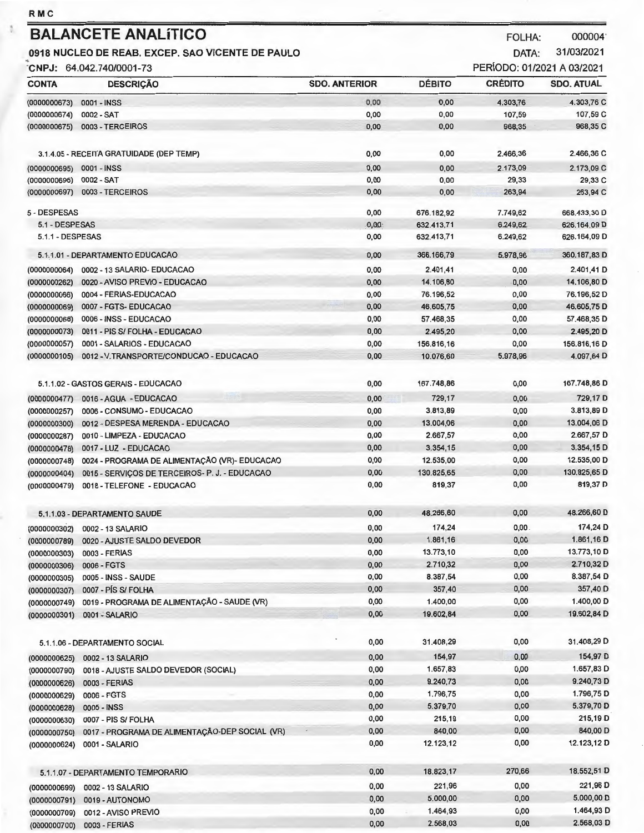$\tilde{\chi}$ 

(0000000700) 0003 - FERIAS

DATA:

31/03/2021

| CNPJ: 64.042.740/0001-73 |                                                |                      |               | PERÍODO: 01/2021 A 03/2021 |                   |  |
|--------------------------|------------------------------------------------|----------------------|---------------|----------------------------|-------------------|--|
| <b>CONTA</b>             | <b>DESCRIÇÃO</b>                               | <b>SDO. ANTERIOR</b> | <b>DÉBITO</b> | <b>CRÉDITO</b>             | <b>SDO. ATUAL</b> |  |
| (0000000673)             | 0001 - INSS                                    | 0,00                 | 0,00          | 4.303,76                   | 4.303,76 C        |  |
| (0000000674)             | 0002 - SAT                                     | 0,00                 | 0,00          | 107,59                     | 107,59 C          |  |
| (0000000675)             | 0003 - TERCEIROS                               | 0,00                 | 0,00          | 968,35                     | 968,35 C          |  |
|                          | 3.1.4.05 - RECEITA GRATUIDADE (DEP TEMP)       | 0,00                 | 0,00          | 2.466,36                   | 2.466,36 C        |  |
| (0000000695)             | 0001 - INSS                                    | 0,00                 | 0,00          | 2.173,09                   | 2.173,09 C        |  |
| (0000000696)             | 0002 - SAT                                     | 0,00                 | 0,00          | 29,33                      | 29,33 C           |  |
| (0000000697)             | 0003 - TERCEIROS                               | 0,00                 | 0,00          | 263,94                     | 263,94 C          |  |
| 5 - DESPESAS             |                                                | 0,00                 | 676.182,92    | 7.749,62                   | 668.433,30 D      |  |
| 5.1 - DESPESAS           |                                                | 0,00                 | 632.413,71    | 6.249,62                   | 626.164,09 D      |  |
| 5.1.1 - DESPESAS         |                                                | 0,00                 | 632.413,71    | 6.249,62                   | 626.164,09 D      |  |
|                          | 5.1.1.01 - DEPARTAMENTO EDUCACAO               | 0,00                 | 366.166,79    | 5,978,96                   | 360.187,83 D      |  |
| (0000000064)             | 0002 - 13 SALARIO- EDUCACAO                    | 0,00                 | 2.401,41      | 0,00                       | 2.401,41 D        |  |
| (0000000262)             | 0020 - AVISO PREVIO - EDUCACAO                 | 0,00                 | 14.106,80     | 0,00                       | 14.106,80 D       |  |
| (0000000066)             | 0004 - FERIAS-EDUCACAO                         | 0,00                 | 76.196,52     | 0,00                       | 76.196,52 D       |  |
| (0000000069)             | 0007 - FGTS- EDUCACAO                          | 0,00                 | 46.605,75     | 0,00                       | 46.605,75 D       |  |
| (0000000068)             | 0006 - INSS - EDUCACAO                         | 0,00                 | 57.468,35     | 0,00                       | 57.468,35 D       |  |
| (0000000073)             | 0011 - PIS S/ FOLHA - EDUCACAO                 | 0,00                 | 2.495,20      | 0,00                       | 2.495,20 D        |  |
| (0000000057)             | 0001 - SALARIOS - EDUCACAO                     | 0,00                 | 156.816,16    | 0,00                       | 156.816,16 D      |  |
| (0000000105)             | 0012 - V.TRANSPORTE/CONDUCAO - EDUCACAO        | 0,00                 | 10.076,60     | 5.978,96                   | 4.097,64 D        |  |
|                          | 5.1.1.02 - GASTOS GERAIS - EDUCACAO            | 0,00                 | 167.748,86    | 0,00                       | 167.748,86 D      |  |
|                          |                                                |                      |               |                            |                   |  |
| (0000000477)             | 0016 - AGUA - EDUCACAO                         | 0,00                 | 729,17        | 0,00                       | 729,17 D          |  |
| (0000000257)             | 0006 - CONSUMO - EDUCACAO                      | 0,00                 | 3.813,89      | 0,00                       | 3.813,89 D        |  |
| (0000000300)             | 0012 - DESPESA MERENDA - EDUCACAO              | 0,00                 | 13.004,06     | 0,00                       | 13.004,06 D       |  |
| (0000000287)             | 0010 - LIMPEZA - EDUCACAO                      | 0,00                 | 2.667,57      | 0,00                       | 2.667,57 D        |  |
| (0000000478)             | 0017 - LUZ - EDUCACAO                          | 0,00                 | 3.354,15      | 0,00                       | 3.354,15 D        |  |
| (0000000748)             | 0024 - PROGRAMA DE ALIMENTAÇÃO (VR) - EDUCACAO | 0,00                 | 12.535,00     | 0,00                       | 12.535,00 D       |  |
| (0000000404)             | 0015 - SERVIÇOS DE TERCEIROS- P. J. - EDUCACAO | 0,00                 | 130.825,65    | 0,00                       | 130.825,65 D      |  |
| (0000000479)             | 0018 - TELEFONE - EDUCACAO                     | 0,00                 | 819,37        | 0,00                       | 819,37 D          |  |
|                          | 5.1.1.03 - DEPARTAMENTO SAUDE                  | 0,00                 | 48.266,60     | 0,00                       | 48.266,60 D       |  |
|                          | (0000000302) 0002 - 13 SALARIO                 | 0,00                 | 174,24        | 0,00                       | 174,24 D          |  |
| (0000000789)             | 0020 - AJUSTE SALDO DEVEDOR                    | 0,00                 | 1.861,16      | 0,00                       | 1.861,16 D        |  |
| (0000000303)             | 0003 - FERIAS                                  | 0,00                 | 13.773,10     | 0,00                       | 13.773,10 D       |  |
| (0000000306)             | 0006 - FGTS                                    | 0,00                 | 2.710,32      | 0,00                       | 2.710,32 D        |  |
| (0000000305)             | 0005 - INSS - SAUDE                            | 0,00                 | 8.387,54      | 0,00                       | 8.387,54 D        |  |
| (0000000307)             | 0007 - PÍS S/ FOLHA                            | 0,00                 | 357,40        | 0,00                       | 357,40 D          |  |
| (0000000749)             | 0019 - PROGRAMA DE ALIMENTAÇÃO - SAUDE (VR)    | 0,00                 | 1.400,00      | 0,00                       | 1.400,00 D        |  |
| (0000000301)             | 0001 - SALARIO                                 | 0,00                 | 19.602,84     | 0,00                       | 19.602,84 D       |  |
|                          |                                                |                      |               | 0,00                       | 31.408,29 D       |  |
|                          | 5.1.1.06 - DEPARTAMENTO SOCIAL                 | 0,00                 | 31.408,29     |                            |                   |  |
| (0000000625)             | 0002 - 13 SALARIO                              | 0,00                 | 154,97        | 0,00                       | 154,97 D          |  |
| (0000000790)             | 0018 - AJUSTE SALDO DEVEDOR (SOCIAL)           | 0,00                 | 1.657,83      | 0,00                       | 1.657,83 D        |  |
| (0000000626)             | 0003 - FERIAS                                  | 0,00                 | 9.240,73      | 0,00                       | 9.240,73 D        |  |
| (0000000629)             | 0006 - FGTS                                    | 0,00                 | 1.796,75      | 0,00                       | 1.796,75 D        |  |
| (0000000628)             | 0005 - INSS                                    | 0,00                 | 5.379,70      | 0,00                       | 5.379,70 D        |  |
| (0000000630)             | 0007 - PIS S/ FOLHA                            | 0,00                 | 215,19        | 0,00                       | 215,19 D          |  |
| (0000000750)             | 0017 - PROGRAMA DE ALIMENTAÇÃO-DEP SOCIAL (VR) | 0,00                 | 840,00        | 0,00                       | 840,00 D          |  |
| (0000000624)             | 0001 - SALARIO                                 | 0,00                 | 12.123,12     | 0,00                       | 12.123,12 D       |  |
|                          | 5.1.1.07 - DEPARTAMENTO TEMPORARIO             | 0,00                 | 18.823,17     | 270,66                     | 18.552,51 D       |  |
|                          | 0002 - 13 SALARIO                              | 0,00                 | 221,96        | 0,00                       | 221,96 D          |  |
| (0000000699)             | 0019 - AUTONOMO                                | 0,00                 | 5.000,00      | 0,00                       | 5.000,00 D        |  |
| (0000000791)             | 0012 - AVISO PREVIO                            | 0,00                 | 1.464,93      | 0,00                       | 1.464,93 D        |  |
| (0000000709)             |                                                |                      |               |                            |                   |  |

0,00

2.568,03

 $0,00$ 

2.568,03 D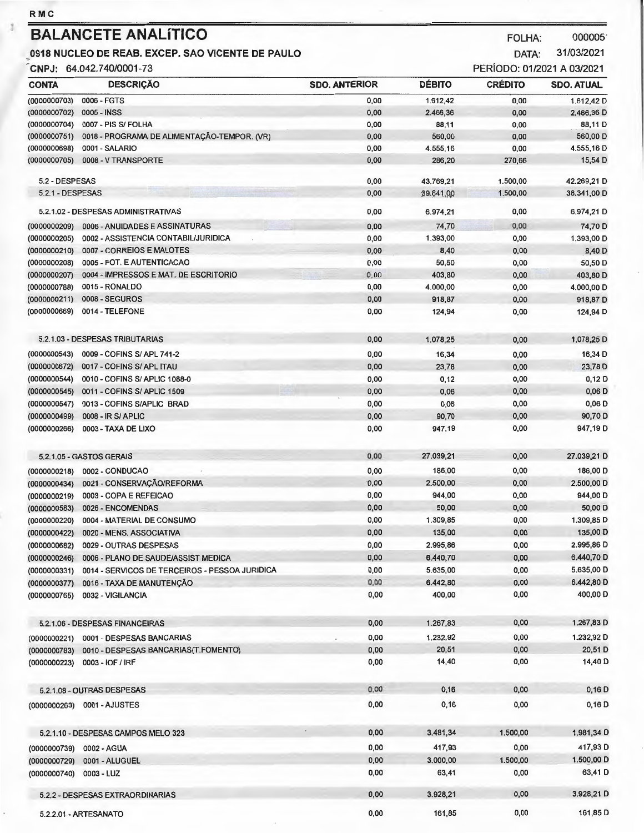**RMC** 

## **BALANCETE ANALÍTICO** FOLHA: 000005<sup>-</sup>

## **0918 NUCLEO DE REAB. EXCEP. SAO VICENTE DE PAULO** DATA: 31/03/2021 .

CNPJ: 64.042.740/0001-73

| CONTA                        | <b>DESCRIÇÃO</b>                               | <b>SDO. ANTERIOR</b> | <b>DÉBITO</b> | <b>CRÉDITO</b> | <b>SDO. ATUAL</b> |
|------------------------------|------------------------------------------------|----------------------|---------------|----------------|-------------------|
| (0000000703)                 | 0006 - FGTS                                    | 0,00                 | 1.612,42      | 0,00           | 1.612,42 D        |
| (0000000702)                 | 0005 - INSS                                    | 0,00                 | 2.466,36      | 0,00           | 2.466,36 D        |
| (0000000704)                 | 0007 - PIS S/ FOLHA                            | 0,00                 | 88,11         | 0,00           | 88,11D            |
| (0000000751)                 | 0018 - PROGRAMA DE ALIMENTAÇÃO-TEMPOR. (VR)    | 0,00                 | 560,00        | 0,00           | 560,00 D          |
| (0000000698)                 | 0001 - SALARIO                                 | 0,00                 | 4.555,16      | 0,00           | 4.555,16 D        |
| (0000000705)                 | 0008 - V TRANSPORTE                            | 0,00                 | 286,20        | 270,66         | 15,54 D           |
| 5.2 - DESPESAS               |                                                | 0,00                 | 43.769.21     | 1.500,00       | 42.269,21 D       |
| 5.2.1 - DESPESAS             |                                                | 0,00                 | 39.841,00     | 1,500,00       | 38.341,00 D       |
|                              | 5.2.1.02 - DESPESAS ADMINISTRATIVAS            | 0,00                 | 6.974.21      | 0,00           | 6.974,21 D        |
| (0000000209)                 | 0006 - ANUIDADES E ASSINATURAS                 | 0,00                 | 74,70         | 0,00           | 74,70 D           |
| (0000000205)                 | 0002 - ASSISTENCIA CONTABIL/JURIDICA           | 0,00                 | 1.393,00      | 0,00           | 1.393,00 D        |
| (0000000210)                 | 0007 - CORREIOS E MALOTES                      | 0,00                 | 8,40          | 0,00           | 8,40 D            |
| (0000000208)                 | 0005 - FOT. E AUTENTICACAO                     | 0,00                 | 50,50         | 0,00           | 50,50 D           |
| (0000000207)                 | 0004 - IMPRESSOS E MAT. DE ESCRITORIO          | 0.00                 | 403,80        | 0,00           | 403,80 D          |
| (0000000788)                 | 0015 - RONALDO                                 | 0,00                 | 4.000,00      | 0,00           | 4.000,00 D        |
| (0000000211)                 | <b>0008 - SEGUROS</b>                          | 0,00                 | 918,87        | 0,00           | 918,87 D          |
| (0000000669)                 | 0014 - TELEFONE                                | 0,00                 | 124,94        | 0,00           | 124,94 D          |
|                              | 5.2.1.03 - DESPESAS TRIBUTARIAS                | 0,00                 | 1.078,25      | 0,00           | 1.078,25 D        |
|                              |                                                |                      |               |                |                   |
| (0000000543)                 | 0009 - COFINS S/ APL 741-2                     | 0,00                 | 16,34         | 0,00           | 16,34 D           |
| (0000000672)                 | 0017 - COFINS S/ APL ITAU                      | 0,00                 | 23,78         | 0,00           | 23,78 D           |
| (0000000544)                 | 0010 - COFINS S/ APLIC 1088-0                  | 0,00                 | 0,12          | 0,00           | 0,12 D            |
| (0000000545)                 | 0011 - COFINS S/ APLIC 1509                    | 0,00                 | 0,06          | 0,00           | $0,06$ D          |
| (0000000547)                 | 0013 - COFINS S/APLIC BRAD                     | 0,00                 | 0,06          | 0,00           | $0,06$ D          |
| (0000000499)                 | 0008 - IR S/ APLIC                             | 0,00                 | 90,70         | 0,00           | 90,70 D           |
| (0000000266)                 | 0003 - TAXA DE LIXO                            | 0,00                 | 947,19        | 0,00           | 947,19 D          |
|                              | 5.2.1.05 - GASTOS GERAIS                       | 0,00                 | 27.039,21     | 0,00           | 27.039,21 D       |
| (0000000218)                 | 0002 - CONDUCAO                                | 0,00                 | 186,00        | 0,00           | 186,00 D          |
| (0000000434)                 | 0021 - CONSERVAÇÃO/REFORMA                     | 0,00                 | 2,500,00      | 0,00           | 2.500,00 D        |
| (0000000219)                 | 0003 - COPA E REFEICAO                         | 0,00                 | 944,00        | 0,00           | 944,00 D          |
| (0000000583)                 | 0026 - ENCOMENDAS                              | 0,00                 | 50,00         | 0,00           | 50,00 D           |
| (0000000220)                 | 0004 - MATERIAL DE CONSUMO                     | 0,00                 | 1.309,85      | 0,00           | 1.309,85 D        |
| (0000000422)                 | 0020 - MENS, ASSOCIATIVA                       | 0,00                 | 135,00        | 0,00           | 135,00 D          |
| (0000000682)                 | 0029 - OUTRAS DESPESAS                         | 0,00                 | 2.995,86      | 0,00           | 2.995,86 D        |
|                              | 0006 - PLANO DE SAUDE/ASSIST MEDICA            | 0,00                 | 6.440,70      | 0,00           | 6.440,70 D        |
| (0000000246)                 | 0014 - SERVICOS DE TERCEIROS - PESSOA JURIDICA | 0,00                 | 5.635,00      | 0,00           | 5.635,00 D        |
| (0000000331)                 |                                                | 0,00                 | 6.442,80      | 0,00           | 6.442,80 D        |
| (0000000377)<br>(0000000765) | 0016 - TAXA DE MANUTENÇÃO<br>0032 - VIGILANCIA | 0,00                 | 400,00        | 0,00           | 400,00 D          |
|                              |                                                |                      |               |                |                   |
|                              | 5.2.1.06 - DESPESAS FINANCEIRAS                | 0,00                 | 1.267,83      | 0,00           | 1.267,83 D        |
| (0000000221)                 | 0001 - DESPESAS BANCARIAS                      | 0,00                 | 1.232,92      | 0,00           | 1.232,92 D        |
| (0000000783)                 | 0010 - DESPESAS BANCARIAS(T.FOMENTO)           | 0,00                 | 20,51         | 0,00           | 20,51 D           |
| (0000000223)                 | 0003 - IOF / IRF                               | 0,00                 | 14,40         | 0,00           | 14,40 D           |
|                              | 5.2.1.08 - OUTRAS DESPESAS                     | 0,00                 | 0,16          | 0,00           | $0,16$ D          |
|                              | (0000000263) 0001 - AJUSTES                    | 0,00                 | 0,16          | 0,00           | 0,16 D            |
|                              |                                                |                      |               |                |                   |
|                              | 5.2.1.10 - DESPESAS CAMPOS MELO 323            | 0,00                 | 3,481,34      | 1.500,00       | 1.981,34 D        |
| (0000000739)                 | 0002 - AGUA                                    | 0,00                 | 417,93        | 0,00           | 417,93 D          |
| (0000000729)                 | 0001 - ALUGUEL                                 | 0,00                 | 3.000,00      | 1.500,00       | 1.500,00 D        |
| (0000000740)                 | 0003 - LUZ                                     | 0,00                 | 63,41         | 0,00           | 63,41 D           |
|                              | 5.2.2 - DESPESAS EXTRAORDINARIAS               | 0,00                 | 3.928,21      | 0,00           | 3.928,21 D        |

5.2.2.01 - ARTESANATO 0,00 161,85 0,00 161,85 D